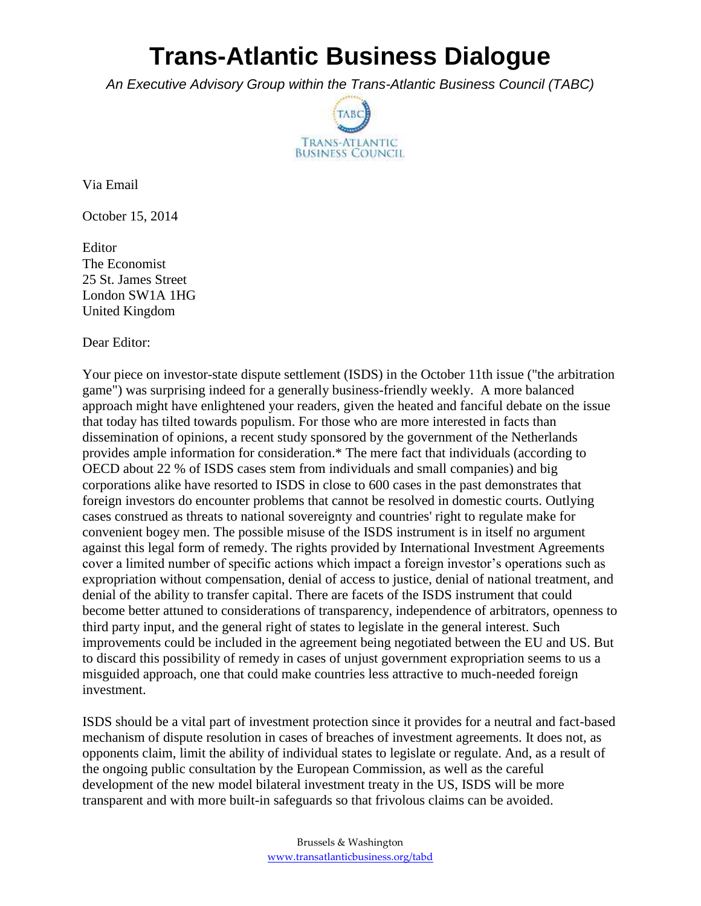## **Trans-Atlantic Business Dialogue**

*An Executive Advisory Group within the Trans-Atlantic Business Council (TABC)*



Via Email

October 15, 2014

Editor The Economist 25 St. James Street London SW1A 1HG United Kingdom

Dear Editor:

Your piece on investor-state dispute settlement (ISDS) in the October 11th issue ("the arbitration game") was surprising indeed for a generally business-friendly weekly. A more balanced approach might have enlightened your readers, given the heated and fanciful debate on the issue that today has tilted towards populism. For those who are more interested in facts than dissemination of opinions, a recent study sponsored by the government of the Netherlands provides ample information for consideration.\* The mere fact that individuals (according to OECD about 22 % of ISDS cases stem from individuals and small companies) and big corporations alike have resorted to ISDS in close to 600 cases in the past demonstrates that foreign investors do encounter problems that cannot be resolved in domestic courts. Outlying cases construed as threats to national sovereignty and countries' right to regulate make for convenient bogey men. The possible misuse of the ISDS instrument is in itself no argument against this legal form of remedy. The rights provided by International Investment Agreements cover a limited number of specific actions which impact a foreign investor's operations such as expropriation without compensation, denial of access to justice, denial of national treatment, and denial of the ability to transfer capital. There are facets of the ISDS instrument that could become better attuned to considerations of transparency, independence of arbitrators, openness to third party input, and the general right of states to legislate in the general interest. Such improvements could be included in the agreement being negotiated between the EU and US. But to discard this possibility of remedy in cases of unjust government expropriation seems to us a misguided approach, one that could make countries less attractive to much-needed foreign investment.

ISDS should be a vital part of investment protection since it provides for a neutral and fact-based mechanism of dispute resolution in cases of breaches of investment agreements. It does not, as opponents claim, limit the ability of individual states to legislate or regulate. And, as a result of the ongoing public consultation by the European Commission, as well as the careful development of the new model bilateral investment treaty in the US, ISDS will be more transparent and with more built-in safeguards so that frivolous claims can be avoided.